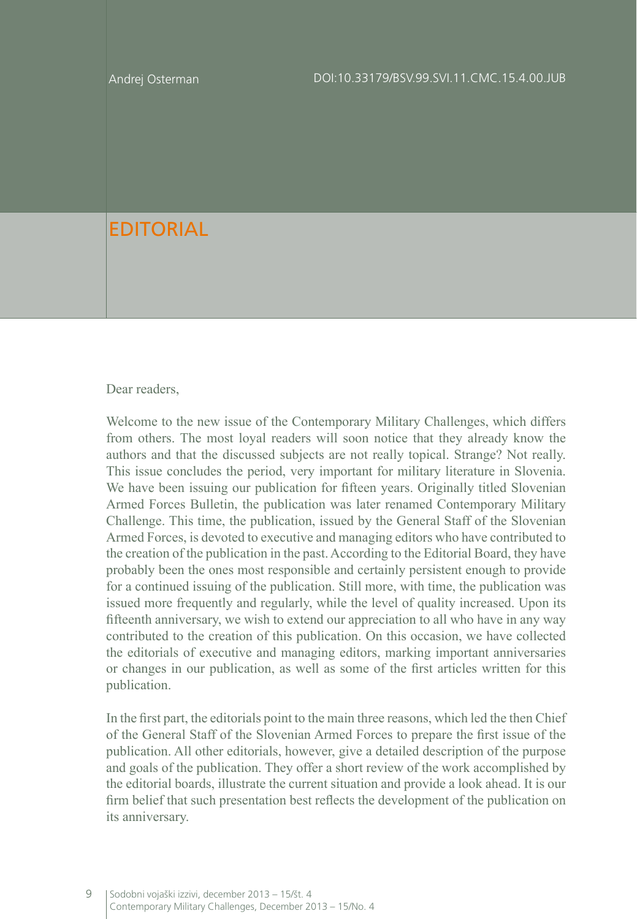## EDITORIAL

## Dear readers.

Welcome to the new issue of the Contemporary Military Challenges, which differs from others. The most loyal readers will soon notice that they already know the authors and that the discussed subjects are not really topical. Strange? Not really. This issue concludes the period, very important for military literature in Slovenia. We have been issuing our publication for fifteen years. Originally titled Slovenian Armed Forces Bulletin, the publication was later renamed Contemporary Military Challenge. This time, the publication, issued by the General Staff of the Slovenian Armed Forces, is devoted to executive and managing editors who have contributed to the creation of the publication in the past. According to the Editorial Board, they have probably been the ones most responsible and certainly persistent enough to provide for a continued issuing of the publication. Still more, with time, the publication was issued more frequently and regularly, while the level of quality increased. Upon its fifteenth anniversary, we wish to extend our appreciation to all who have in any way contributed to the creation of this publication. On this occasion, we have collected the editorials of executive and managing editors, marking important anniversaries or changes in our publication, as well as some of the first articles written for this publication.

In the first part, the editorials point to the main three reasons, which led the then Chief of the General Staff of the Slovenian Armed Forces to prepare the first issue of the publication. All other editorials, however, give a detailed description of the purpose and goals of the publication. They offer a short review of the work accomplished by the editorial boards, illustrate the current situation and provide a look ahead. It is our firm belief that such presentation best reflects the development of the publication on its anniversary.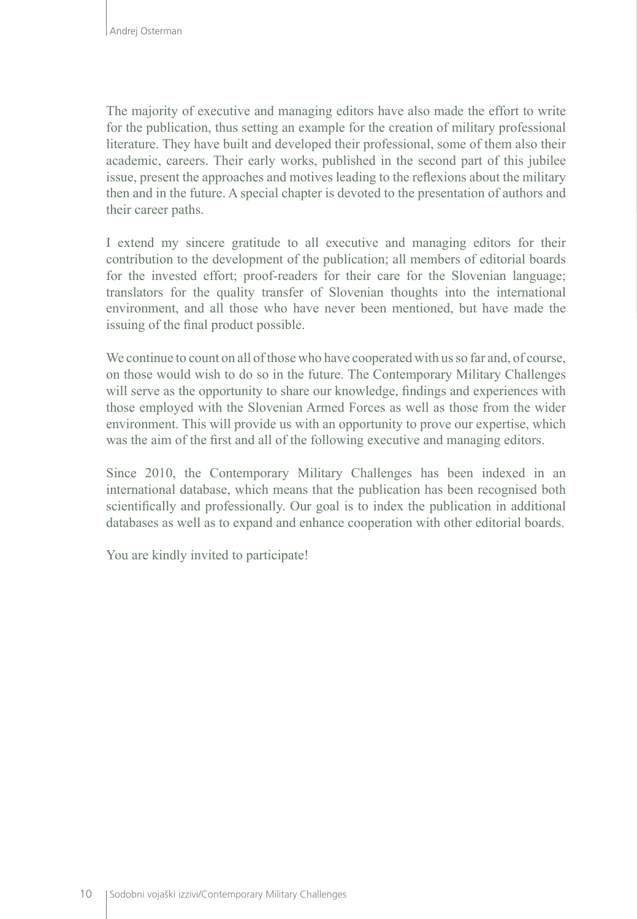The majority of executive and managing editors have also made the effort to write for the publication, thus setting an example for the creation of military professional literature. They have built and developed their professional, some of them also their academic, careers. Their early works, published in the second part of this jubilee issue, present the approaches and motives leading to the reflexions about the military then and in the future. A special chapter is devoted to the presentation of authors and their career paths.

I extend my sincere gratitude to all executive and managing editors for their contribution to the development of the publication; all members of editorial boards for the invested effort; proof-readers for their care for the Slovenian language; translators for the quality transfer of Slovenian thoughts into the international environment, and all those who have never been mentioned, but have made the issuing of the final product possible.

We continue to count on all of those who have cooperated with us so far and, of course, on those would wish to do so in the future. The Contemporary Military Challenges will serve as the opportunity to share our knowledge, findings and experiences with those employed with the Slovenian Armed Forces as well as those from the wider environment. This will provide us with an opportunity to prove our expertise, which was the aim of the first and all of the following executive and managing editors.

Since 2010, the Contemporary Military Challenges has been indexed in an international database, which means that the publication has been recognised both scientifically and professionally. Our goal is to index the publication in additional databases as well as to expand and enhance cooperation with other editorial boards.

You are kindly invited to participate!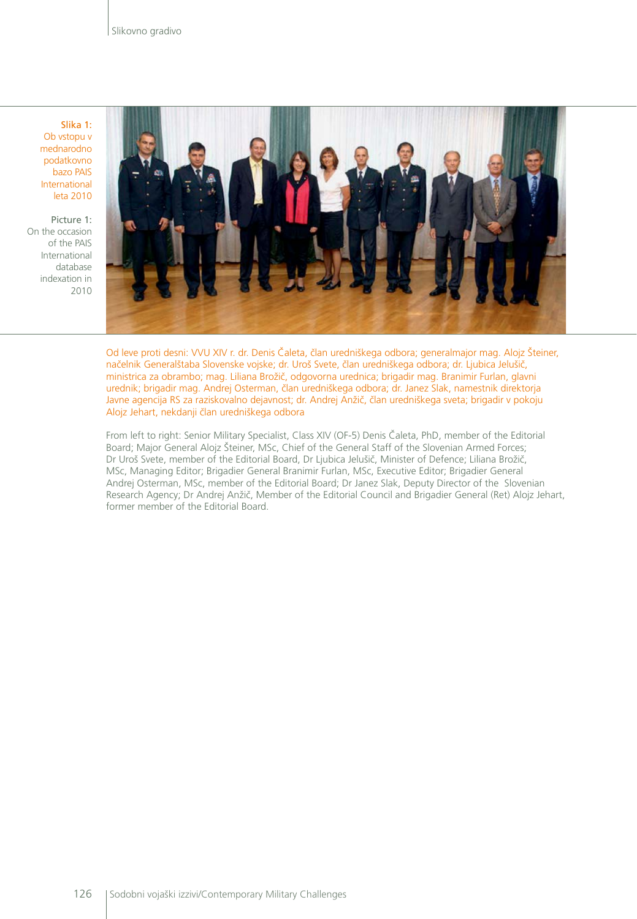Slika 1: Ob vstopu v mednarodno podatkovno bazo PAIS International leta 2010

Picture 1: On the occasion of the PAIS International database indexation in 2010



Od leve proti desni: VVU XIV r. dr. Denis Čaleta, član uredniškega odbora; generalmajor mag. Alojz Šteiner, načelnik Generalštaba Slovenske vojske; dr. Uroš Svete, član uredniškega odbora; dr. Ljubica Jelušič, ministrica za obrambo; mag. Liliana Brožič, odgovorna urednica; brigadir mag. Branimir Furlan, glavni urednik; brigadir mag. Andrej Osterman, član uredniškega odbora; dr. Janez Slak, namestnik direktorja Javne agencija RS za raziskovalno dejavnost; dr. Andrej Anžič, član uredniškega sveta; brigadir v pokoju Alojz Jehart, nekdanji član uredniškega odbora

From left to right: Senior Military Specialist, Class XIV (OF-5) Denis Čaleta, PhD, member of the Editorial Board; Major General Alojz Šteiner, MSc, Chief of the General Staff of the Slovenian Armed Forces; Dr Uroš Svete, member of the Editorial Board, Dr Ljubica Jelušič, Minister of Defence; Liliana Brožič, MSc, Managing Editor; Brigadier General Branimir Furlan, MSc, Executive Editor; Brigadier General Andrej Osterman, MSc, member of the Editorial Board; Dr Janez Slak, Deputy Director of the Slovenian Research Agency; Dr Andrej Anžič, Member of the Editorial Council and Brigadier General (Ret) Alojz Jehart, former member of the Editorial Board.